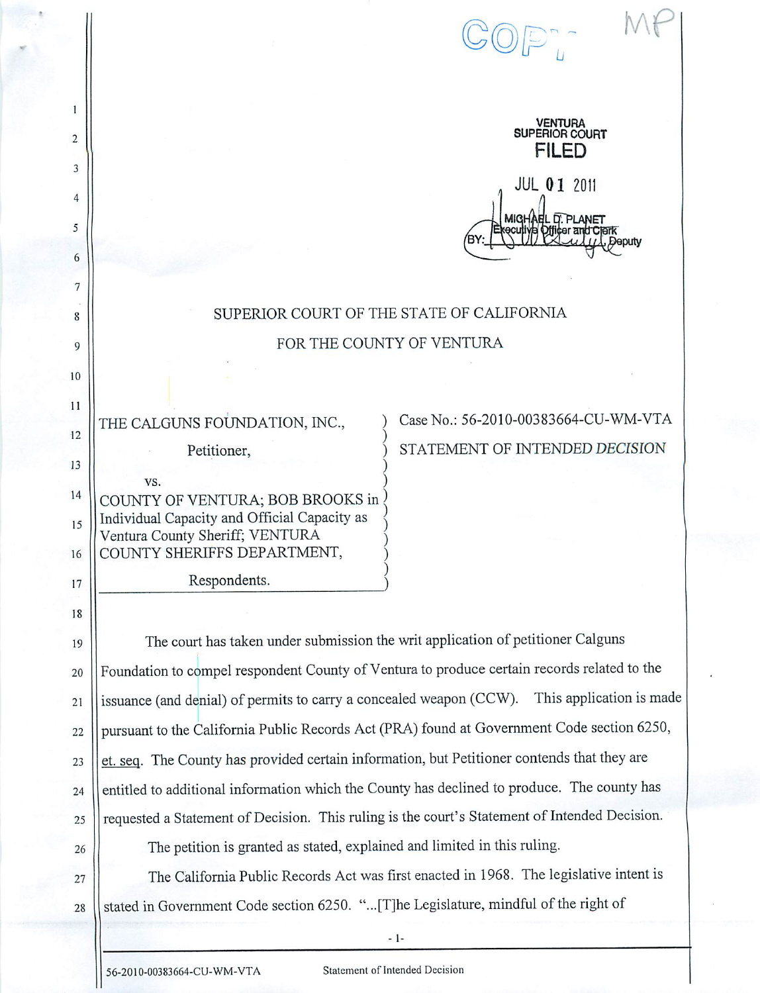| 1                                                                                         |                                                                                               |  |  |  |
|-------------------------------------------------------------------------------------------|-----------------------------------------------------------------------------------------------|--|--|--|
| 2                                                                                         | <b>VENTURA</b><br>SUPERIOR COURT<br><b>FILED</b>                                              |  |  |  |
| 3                                                                                         |                                                                                               |  |  |  |
| 4                                                                                         | <b>JUL 01 2011</b>                                                                            |  |  |  |
| 5                                                                                         | IGHAEL D. PLANET<br>licer and Clerk                                                           |  |  |  |
| 6                                                                                         |                                                                                               |  |  |  |
| 7                                                                                         |                                                                                               |  |  |  |
| 8                                                                                         | SUPERIOR COURT OF THE STATE OF CALIFORNIA                                                     |  |  |  |
| 9                                                                                         | FOR THE COUNTY OF VENTURA                                                                     |  |  |  |
| 10                                                                                        |                                                                                               |  |  |  |
| 11                                                                                        | Case No.: 56-2010-00383664-CU-WM-VTA<br>THE CALGUNS FOUNDATION, INC.,                         |  |  |  |
| 12                                                                                        | STATEMENT OF INTENDED DECISION<br>Petitioner,                                                 |  |  |  |
| 13                                                                                        | VS.                                                                                           |  |  |  |
| 14                                                                                        | COUNTY OF VENTURA; BOB BROOKS in                                                              |  |  |  |
| 15                                                                                        | Individual Capacity and Official Capacity as<br>Ventura County Sheriff; VENTURA               |  |  |  |
| 16                                                                                        | COUNTY SHERIFFS DEPARTMENT,                                                                   |  |  |  |
| 17                                                                                        | Respondents.                                                                                  |  |  |  |
| 18                                                                                        |                                                                                               |  |  |  |
| 19                                                                                        | The court has taken under submission the writ application of petitioner Calguns               |  |  |  |
| 20                                                                                        | Foundation to compel respondent County of Ventura to produce certain records related to the   |  |  |  |
| 21                                                                                        | issuance (and denial) of permits to carry a concealed weapon (CCW). This application is made  |  |  |  |
| 22                                                                                        | pursuant to the California Public Records Act (PRA) found at Government Code section 6250,    |  |  |  |
| 23                                                                                        | et. seq. The County has provided certain information, but Petitioner contends that they are   |  |  |  |
| 24                                                                                        | entitled to additional information which the County has declined to produce. The county has   |  |  |  |
| 25                                                                                        | requested a Statement of Decision. This ruling is the court's Statement of Intended Decision. |  |  |  |
| 26                                                                                        | The petition is granted as stated, explained and limited in this ruling.                      |  |  |  |
| 27                                                                                        | The California Public Records Act was first enacted in 1968. The legislative intent is        |  |  |  |
| stated in Government Code section 6250. "[T]he Legislature, mindful of the right of<br>28 |                                                                                               |  |  |  |
|                                                                                           | $-1-$<br>Statement of Intended Decision<br>56-2010-00383664-CU-WM-VTA                         |  |  |  |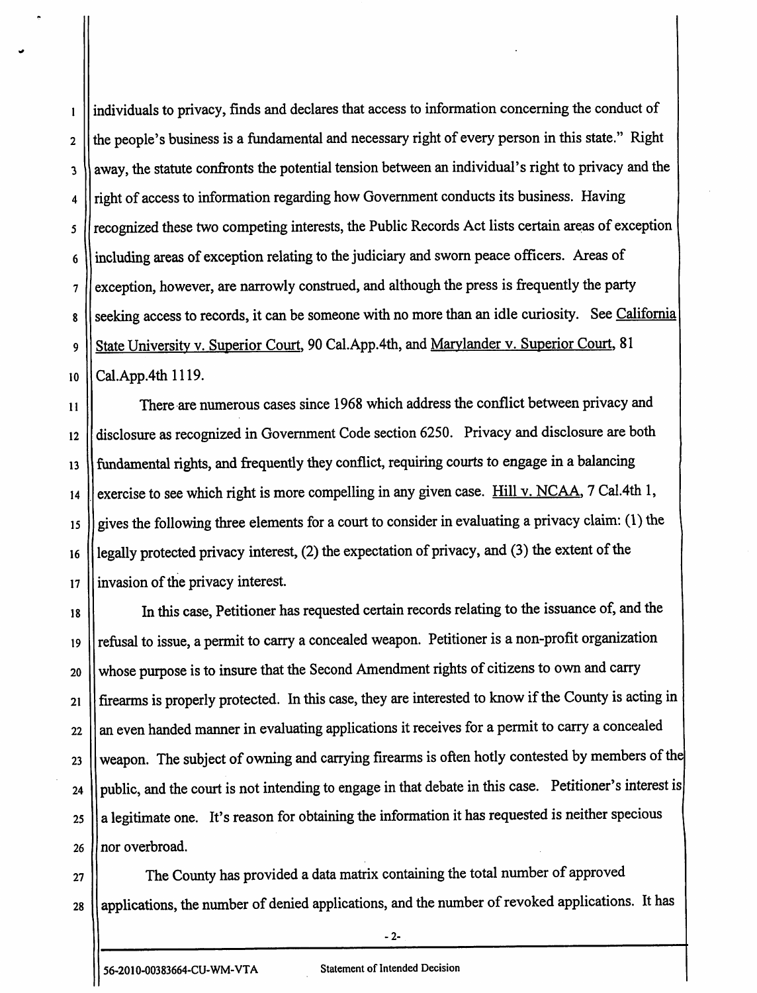1 2 3 4 5 6 7 8 9 10 individuals to privacy, finds and declares that access to information concerning the conduct of the people's business is a fundamental and necessary right of every person in this state." Right away, the statute confronts the potential tension between an individual's right to privacy and the right of access to information regarding howGovernment conducts its business. Having recognized these two competing interests, the Public Records Act lists certain areas of exception including areas of exception relating to the judiciary and sworn peace officers. Areas of exception, however, are narrowly construed, and although the press is frequently the party seeking access to records, it can be someone with no more than an idle curiosity. See California State University v. Superior Court, 90 Cal.App.4th, and Marylander v. Superior Court, 81 Cal.App.4th 1119.

11 12 13 14 15 16 17 There are numerous cases since 1968 which address the conflict between privacy and disclosure as recognized in Government Code section 6250. Privacy and disclosure are both fundamental rights, and frequently they conflict, requiring courts to engage in a balancing exercise to see which right is more compelling in any given case. Hill v. NCAA, 7 Cal.4th 1, gives the following three elements for a court to consider in evaluating a privacy claim: (1) the legally protected privacy interest, (2) the expectation of privacy, and (3) the extent of the invasion of the privacy interest.

18 19 20 21 22 23 24 25 26 In this case, Petitioner has requested certain records relating to the issuance of, and the refusal to issue, a permit to carry a concealed weapon. Petitioner is a non-profit organization whose purpose is to insure that the Second Amendment rights of citizens to own and carry firearms is properly protected. In this case, they are interested to know if the County is acting in an even handed manner in evaluating applications it receives for a permit to carry a concealed weapon. The subject of owning and carrying firearms is often hotly contested by members of the public, and the court is not intending to engage in that debate in this case. Petitioner's interest is a legitimate one. It's reason for obtaining the information it has requested is neither specious nor overbroad.

27 28 The County has provided a data matrix containing the total number of approved applications, the number of denied applications, and the number of revoked applications. It has

 $-2-$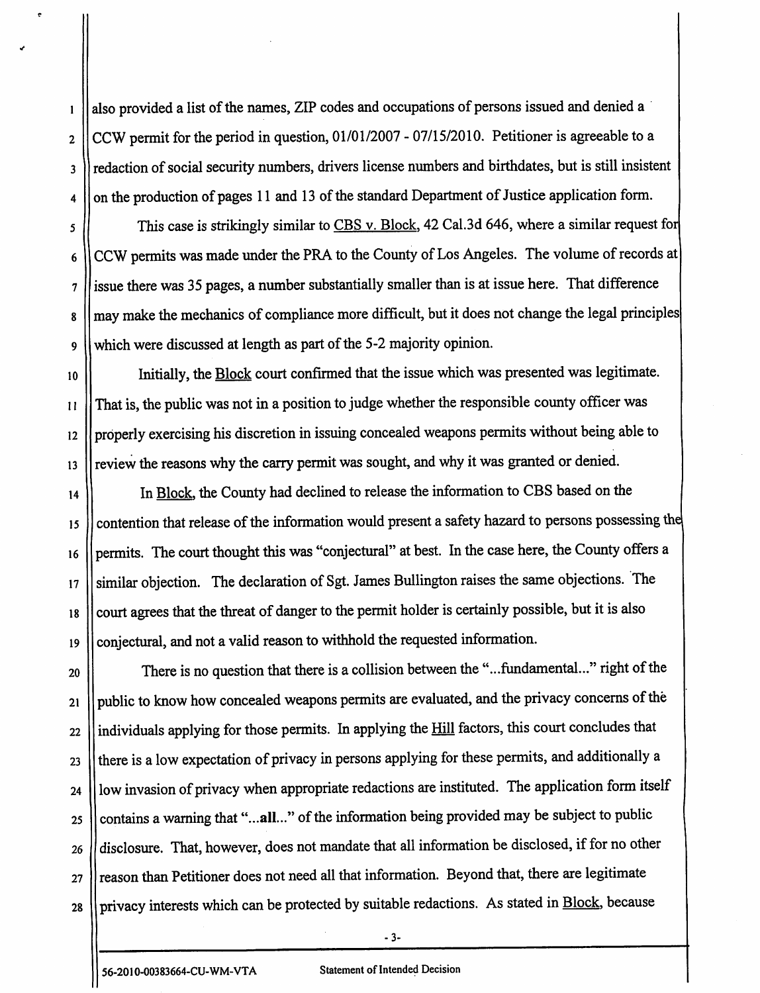also provided a list of the names, ZIP codes and occupations of persons issued and denied a CCW permit for the period in question, 01/01/2007 - 07/15/2010. Petitioner is agreeable to a redaction of social security numbers, drivers license numbers and birthdates, but is still insistent on the production of pages 11 and 13 of the standard Department of Justice application form.

This case is strikingly similar to  $CBS$  v. Block, 42 Cal.3d 646, where a similar request for CCW permits was made under the PRA to the County of Los Angeles. The volume of records at issue there was 35 pages, a number substantially smaller than is at issue here. That difference may make the mechanics of compliance more difficult, but it does not change the legal principles which were discussed at length as part of the 5-2 majority opinion.

Initially, the Block court confirmed that the issue which was presented was legitimate. That is, the public was not in a position to judge whether the responsible county officer was properly exercising his discretion in issuing concealed weapons permits without being able to review the reasons why the carry permit was sought, and why it was granted or denied.

14 15 16 17 18 19 In Block, the County had declined to release the information to CBS based on the contention that release of the information would present a safety hazard to persons possessing the permits. The court thought this was "conjectural" at best. In the case here, the County offers a similar objection. The declaration of Sgt. James Bullington raises the same objections. The court agrees that the threat of danger to the permit holder is certainly possible, but it is also conjectural, and not a valid reason towithhold the requested information.

20 21 22 23 24 25 26 27 28 There is no question that there is a collision between the "...fundamental..." right of the public to know how concealed weapons permits are evaluated, and the privacy concerns of the individuals applying for those permits. In applying the Hill factors, this court concludes that there is a low expectation of privacy in persons applying for these permits, and additionally a low invasion of privacy when appropriate redactions are instituted. The application form itself contains a warning that "...all..." of the information being provided may be subject to public disclosure. That, however, does not mandate that all information be disclosed, if for no other reason than Petitioner does not need all that information. Beyond that, there are legitimate privacy interests which can be protected by suitable redactions. As stated in Block, because

*-3-*

1

2

3

4

5

6

7

8

9

10

II

12

13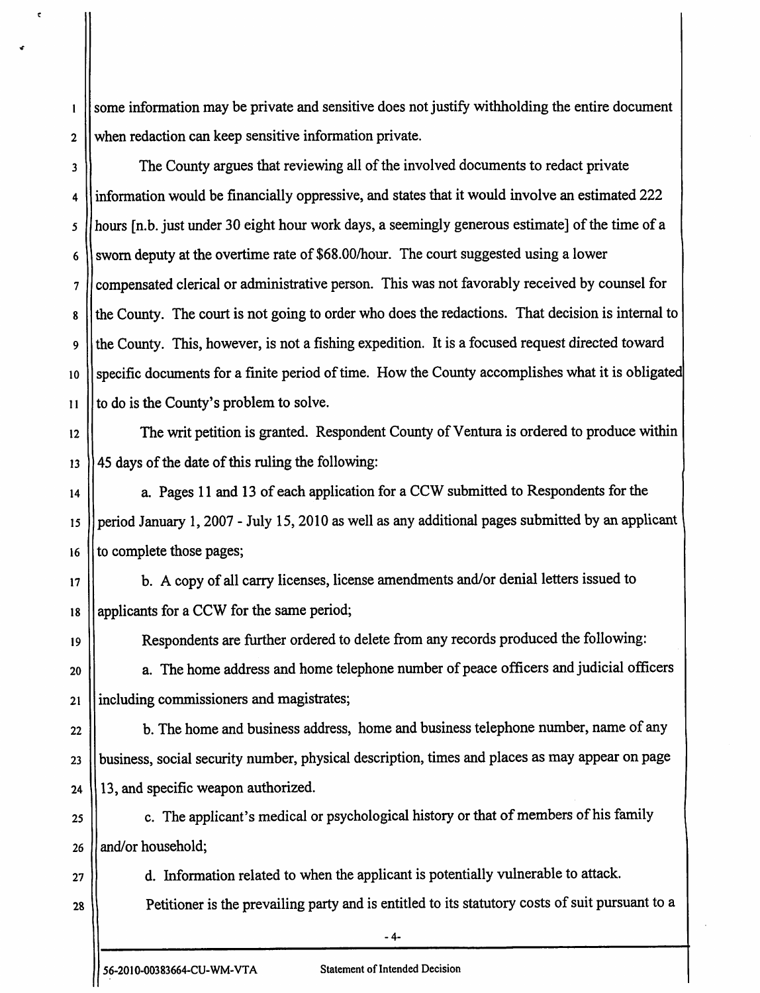some information may be private and sensitive does not justify withholding the entire document when redaction can keep sensitive information private.

3 4 5 6 7 8 9 10 11 The County argues that reviewing all of the involved documents to redact private information would be financially oppressive, and states that it would involve an estimated 222 hours [n.b. just under 30 eight hour work days, a seemingly generous estimate] of the time of a sworn deputy at the overtime rate of \$68.00/hour. The court suggested using a lower compensated clerical or administrative person. This was not favorably received by counsel for the County. The court is not going to order who does the redactions. That decision is internal to the County. This, however, is not a fishing expedition. It is a focused request directed toward specific documents for a finite period of time. How the County accomplishes what it is obligated to do is the County's problem to solve.

12 13 The writ petition is granted. Respondent County of Ventura is ordered to produce within 45 days of the date of this ruling the following:

14 15 16 a. Pages 11 and 13 of each application for a CCW submitted to Respondents for the period January 1, 2007 - July 15, 2010 as well as any additional pages submitted by an applicant to complete those pages;

17 18 b. A copy of all carry licenses, license amendments and/or denial letters issued to applicants for a CCW for the same period;

Respondents are further ordered to delete from any records produced the following:

20 21 a. The home address and home telephone number of peace officers and judicial officers including commissioners and magistrates;

24 b. The home and business address, home and business telephone number, name of any business, social security number, physical description, times and places as may appear on page 13, and specific weapon authorized.

25 26 c. The applicant's medical or psychological history or that of members of his family and/or household;

27 28

19

22

23

1

 $\epsilon$ 

2

d. Information related to when the applicant is potentially vulnerable to attack. Petitioner is the prevailing party and is entitled to its statutory costs of suit pursuant to a

*-4-*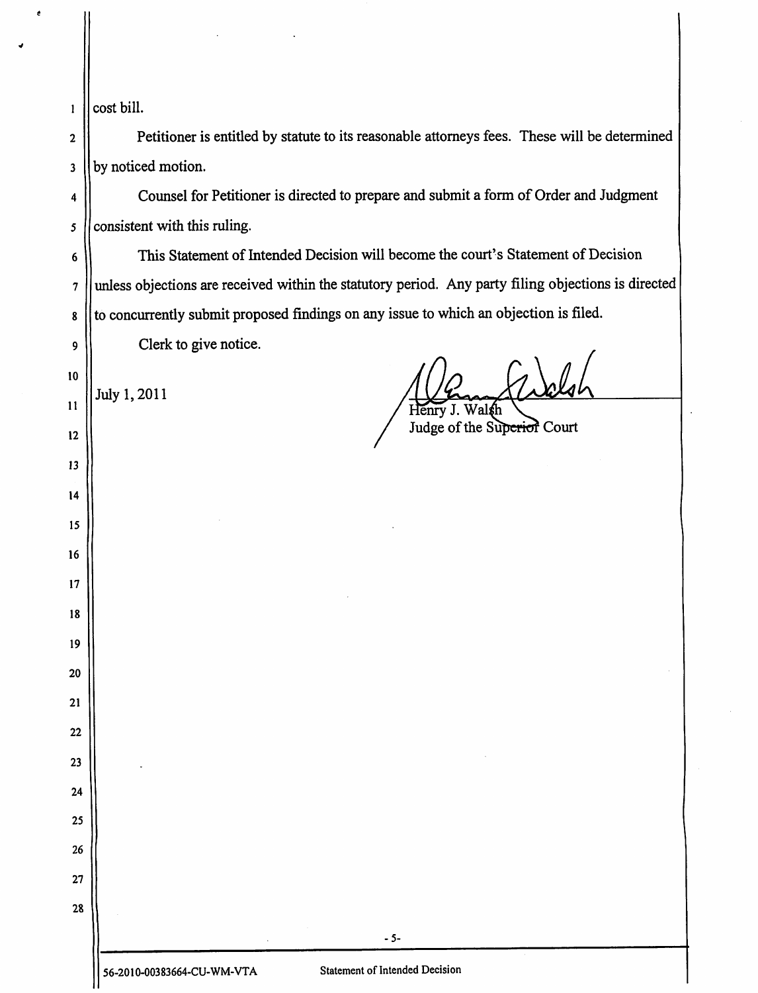|  | $\vert$ cost bill. |  |
|--|--------------------|--|
|--|--------------------|--|

Petitioner is entitled by statute to its reasonable attorneys fees. These will be determined by noticed motion.

Counsel for Petitioner is directed to prepare and submit a form of Order and Judgment consistent with this ruling.

This Statement of Intended Decision will become the court's Statement of Decision unless objections are received within the statutory period. Any party filing objections is directed to concurrently submit proposed findings on any issue to which an objection is filed.

Clerk to give notice.

July 1,2011

Henry J. Walsh

Judge of the Superior Court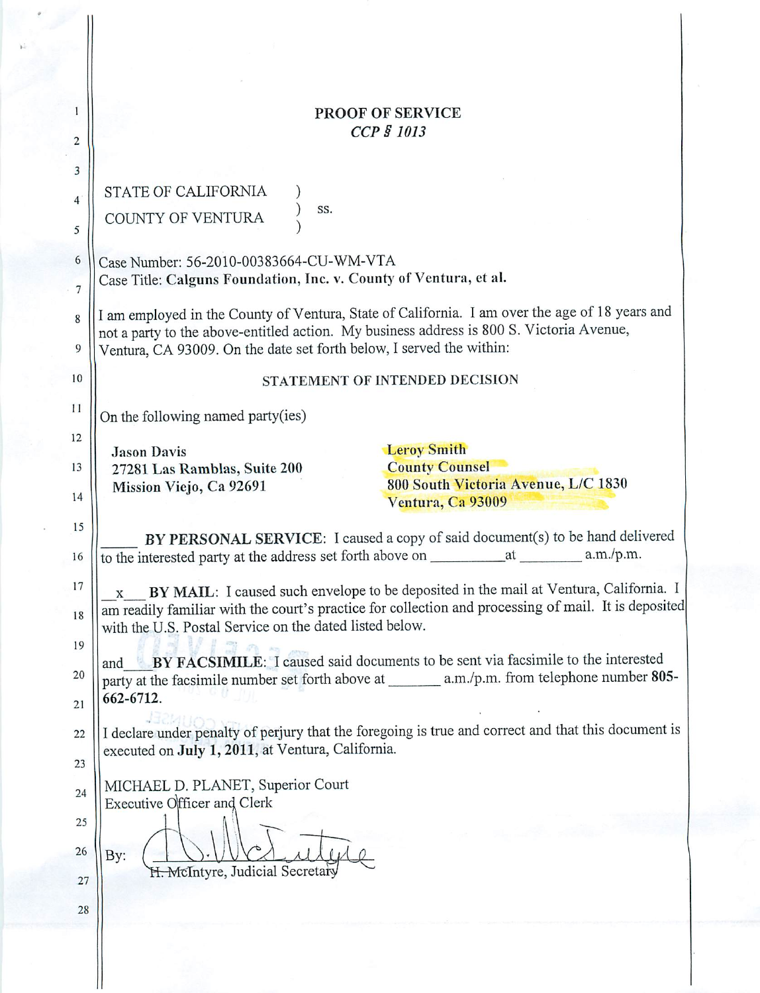|                | PROOF OF SERVICE                                                                                                                                         |  |
|----------------|----------------------------------------------------------------------------------------------------------------------------------------------------------|--|
| $\overline{2}$ | CCP § 1013                                                                                                                                               |  |
|                |                                                                                                                                                          |  |
| 3              |                                                                                                                                                          |  |
| 4              | STATE OF CALIFORNIA<br>SS.                                                                                                                               |  |
| 5              | COUNTY OF VENTURA                                                                                                                                        |  |
|                |                                                                                                                                                          |  |
| 6              | Case Number: 56-2010-00383664-CU-WM-VTA                                                                                                                  |  |
| $\overline{7}$ | Case Title: Calguns Foundation, Inc. v. County of Ventura, et al.                                                                                        |  |
| 8              | I am employed in the County of Ventura, State of California. I am over the age of 18 years and                                                           |  |
|                | not a party to the above-entitled action. My business address is 800 S. Victoria Avenue,                                                                 |  |
| 9              | Ventura, CA 93009. On the date set forth below, I served the within:                                                                                     |  |
| $10$           | STATEMENT OF INTENDED DECISION                                                                                                                           |  |
| 11             | On the following named party(ies)                                                                                                                        |  |
| 12             |                                                                                                                                                          |  |
|                | <b>Leroy Smith</b><br><b>Jason Davis</b>                                                                                                                 |  |
| 13             | <b>County Counsel</b><br>27281 Las Ramblas, Suite 200<br>800 South Victoria Avenue, L/C 1830                                                             |  |
| 14             | Mission Viejo, Ca 92691<br>Ventura, Ca 93009                                                                                                             |  |
| 15             |                                                                                                                                                          |  |
|                | BY PERSONAL SERVICE: I caused a copy of said document(s) to be hand delivered                                                                            |  |
| 16             | a.m./p.m.<br>to the interested party at the address set forth above on ___________<br>at                                                                 |  |
| 17             | BY MAIL: I caused such envelope to be deposited in the mail at Ventura, California. I<br>$\mathbf{x}$                                                    |  |
| 18             | am readily familiar with the court's practice for collection and processing of mail. It is deposited                                                     |  |
|                | with the U.S. Postal Service on the dated listed below.                                                                                                  |  |
| 19             | 四月 四<br>BY FACSIMILE: I caused said documents to be sent via facsimile to the interested<br>and                                                          |  |
| 20             |                                                                                                                                                          |  |
| 21             | 662-6712.                                                                                                                                                |  |
|                |                                                                                                                                                          |  |
| 22             | I declare under penalty of perjury that the foregoing is true and correct and that this document is<br>executed on July 1, 2011, at Ventura, California. |  |
| 23             |                                                                                                                                                          |  |
| 24             | MICHAEL D. PLANET, Superior Court                                                                                                                        |  |
|                | Executive Officer and Clerk                                                                                                                              |  |
| 25             |                                                                                                                                                          |  |
| 26             | By:                                                                                                                                                      |  |
| 27             | H. McIntyre, Judicial Secretary                                                                                                                          |  |
|                |                                                                                                                                                          |  |
| 28             |                                                                                                                                                          |  |
|                |                                                                                                                                                          |  |